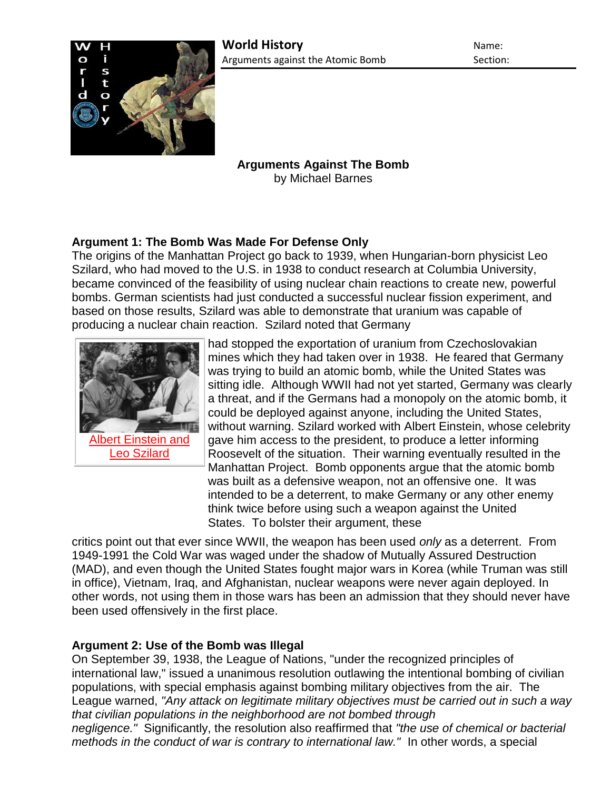

**Arguments Against The Bomb** by Michael Barnes

# **Argument 1: The Bomb Was Made For Defense Only**

The origins of the Manhattan Project go back to 1939, when Hungarian-born physicist Leo Szilard, who had moved to the U.S. in 1938 to conduct research at Columbia University, became convinced of the feasibility of using nuclear chain reactions to create new, powerful bombs. German scientists had just conducted a successful nuclear fission experiment, and based on those results, Szilard was able to demonstrate that uranium was capable of producing a nuclear chain reaction. Szilard noted that Germany



had stopped the exportation of uranium from Czechoslovakian mines which they had taken over in 1938. He feared that Germany was trying to build an atomic bomb, while the United States was sitting idle. Although WWII had not yet started, Germany was clearly a threat, and if the Germans had a monopoly on the atomic bomb, it could be deployed against anyone, including the United States, without warning. Szilard worked with Albert Einstein, whose celebrity gave him access to the president, to produce a letter informing Roosevelt of the situation. Their warning eventually resulted in the Manhattan Project. Bomb opponents argue that the atomic bomb was built as a defensive weapon, not an offensive one. It was intended to be a deterrent, to make Germany or any other enemy think twice before using such a weapon against the United States. To bolster their argument, these

critics point out that ever since WWII, the weapon has been used *only* as a deterrent. From 1949-1991 the Cold War was waged under the shadow of Mutually Assured Destruction (MAD), and even though the United States fought major wars in Korea (while Truman was still in office), Vietnam, Iraq, and Afghanistan, nuclear weapons were never again deployed. In other words, not using them in those wars has been an admission that they should never have been used offensively in the first place.

# **Argument 2: Use of the Bomb was Illegal**

On September 39, 1938, the League of Nations, "under the recognized principles of international law," issued a unanimous resolution outlawing the intentional bombing of civilian populations, with special emphasis against bombing military objectives from the air. The League warned, *"Any attack on legitimate military objectives must be carried out in such a way that civilian populations in the neighborhood are not bombed through* 

*negligence."* Significantly, the resolution also reaffirmed that *"the use of chemical or bacterial methods in the conduct of war is contrary to international law."* In other words, a special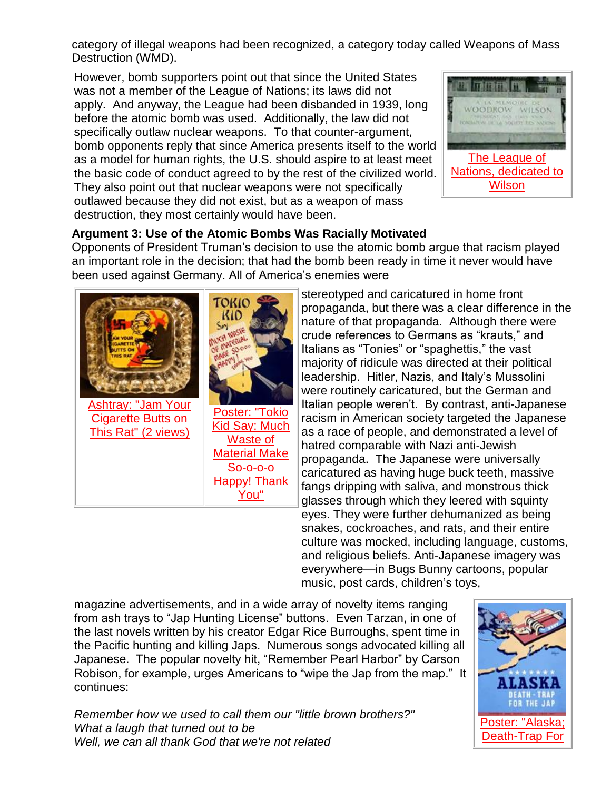category of illegal weapons had been recognized, a category today called Weapons of Mass Destruction (WMD).

However, bomb supporters point out that since the United States was not a member of the League of Nations; its laws did not apply. And anyway, the League had been disbanded in 1939, long before the atomic bomb was used. Additionally, the law did not specifically outlaw nuclear weapons. To that counter-argument, bomb opponents reply that since America presents itself to the world as a model for human rights, the U.S. should aspire to at least meet the basic code of conduct agreed to by the rest of the civilized world. They also point out that nuclear weapons were not specifically outlawed because they did not exist, but as a weapon of mass destruction, they most certainly would have been.



### **Argument 3: Use of the Atomic Bombs Was Racially Motivated**

Opponents of President Truman's decision to use the atomic bomb argue that racism played an important role in the decision; that had the bomb been ready in time it never would have been used against Germany. All of America's enemies were



stereotyped and caricatured in home front propaganda, but there was a clear difference in the nature of that propaganda. Although there were crude references to Germans as "krauts," and Italians as "Tonies" or "spaghettis," the vast majority of ridicule was directed at their political leadership. Hitler, Nazis, and Italy's Mussolini were routinely caricatured, but the German and Italian people weren't. By contrast, anti-Japanese racism in American society targeted the Japanese as a race of people, and demonstrated a level of hatred comparable with Nazi anti-Jewish propaganda. The Japanese were universally caricatured as having huge buck teeth, massive fangs dripping with saliva, and monstrous thick glasses through which they leered with squinty eyes. They were further dehumanized as being snakes, cockroaches, and rats, and their entire culture was mocked, including language, customs, and religious beliefs. Anti-Japanese imagery was everywhere—in Bugs Bunny cartoons, popular music, post cards, children's toys,

magazine advertisements, and in a wide array of novelty items ranging from ash trays to "Jap Hunting License" buttons. Even Tarzan, in one of the last novels written by his creator Edgar Rice Burroughs, spent time in the Pacific hunting and killing Japs. Numerous songs advocated killing all Japanese. The popular novelty hit, "Remember Pearl Harbor" by Carson Robison, for example, urges Americans to "wipe the Jap from the map." It continues:

*Remember how we used to call them our "little brown brothers?" What a laugh that turned out to be Well, we can all thank God that we're not related*

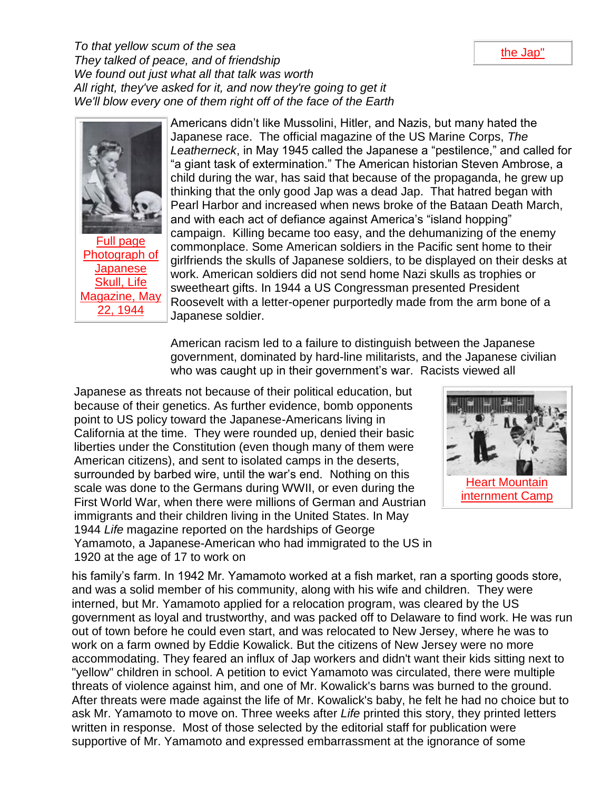*To that yellow scum of the sea They talked of peace, and of friendship We found out just what all that talk was worth All right, they've asked for it, and now they're going to get it We'll blow every one of them right off of the face of the Earth*



[Full page](http://www.authentichistory.com/1939-1945/1-war/4-Pacific/4-abombdecision/3-against/Life_Magazine_19440522_Picture_of_the_Week-Jap_Skull_pg34.jpg)  [Photograph of](http://www.authentichistory.com/1939-1945/1-war/4-Pacific/4-abombdecision/3-against/Life_Magazine_19440522_Picture_of_the_Week-Jap_Skull_pg34.jpg)  **Japanese** [Skull, Life](http://www.authentichistory.com/1939-1945/1-war/4-Pacific/4-abombdecision/3-against/Life_Magazine_19440522_Picture_of_the_Week-Jap_Skull_pg34.jpg)  [Magazine, May](http://www.authentichistory.com/1939-1945/1-war/4-Pacific/4-abombdecision/3-against/Life_Magazine_19440522_Picture_of_the_Week-Jap_Skull_pg34.jpg)  [22, 1944](http://www.authentichistory.com/1939-1945/1-war/4-Pacific/4-abombdecision/3-against/Life_Magazine_19440522_Picture_of_the_Week-Jap_Skull_pg34.jpg)

Americans didn't like Mussolini, Hitler, and Nazis, but many hated the Japanese race. The official magazine of the US Marine Corps, *The Leatherneck*, in May 1945 called the Japanese a "pestilence," and called for "a giant task of extermination." The American historian Steven Ambrose, a child during the war, has said that because of the propaganda, he grew up thinking that the only good Jap was a dead Jap. That hatred began with Pearl Harbor and increased when news broke of the Bataan Death March, and with each act of defiance against America's "island hopping" campaign. Killing became too easy, and the dehumanizing of the enemy commonplace. Some American soldiers in the Pacific sent home to their girlfriends the skulls of Japanese soldiers, to be displayed on their desks at work. American soldiers did not send home Nazi skulls as trophies or sweetheart gifts. In 1944 a US Congressman presented President Roosevelt with a letter-opener purportedly made from the arm bone of a Japanese soldier.

American racism led to a failure to distinguish between the Japanese government, dominated by hard-line militarists, and the Japanese civilian who was caught up in their government's war. Racists viewed all

Japanese as threats not because of their political education, but because of their genetics. As further evidence, bomb opponents point to US policy toward the Japanese-Americans living in California at the time. They were rounded up, denied their basic liberties under the Constitution (even though many of them were American citizens), and sent to isolated camps in the deserts, surrounded by barbed wire, until the war's end. Nothing on this scale was done to the Germans during WWII, or even during the First World War, when there were millions of German and Austrian immigrants and their children living in the United States. In May 1944 *Life* magazine reported on the hardships of George Yamamoto, a Japanese-American who had immigrated to the US in 1920 at the age of 17 to work on



his family's farm. In 1942 Mr. Yamamoto worked at a fish market, ran a sporting goods store, and was a solid member of his community, along with his wife and children. They were interned, but Mr. Yamamoto applied for a relocation program, was cleared by the US government as loyal and trustworthy, and was packed off to Delaware to find work. He was run out of town before he could even start, and was relocated to New Jersey, where he was to work on a farm owned by Eddie Kowalick. But the citizens of New Jersey were no more accommodating. They feared an influx of Jap workers and didn't want their kids sitting next to "yellow" children in school. A petition to evict Yamamoto was circulated, there were multiple threats of violence against him, and one of Mr. Kowalick's barns was burned to the ground. After threats were made against the life of Mr. Kowalick's baby, he felt he had no choice but to ask Mr. Yamamoto to move on. Three weeks after *Life* printed this story, they printed letters written in response. Most of those selected by the editorial staff for publication were supportive of Mr. Yamamoto and expressed embarrassment at the ignorance of some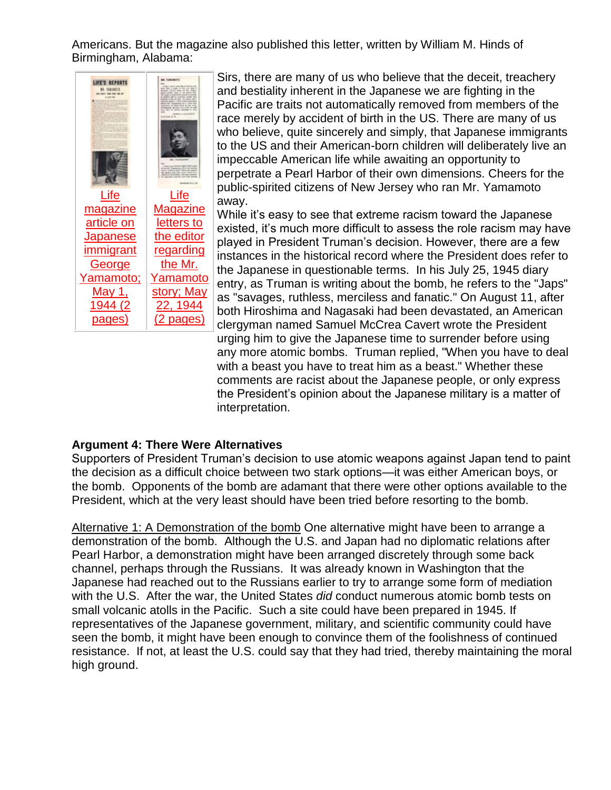Americans. But the magazine also published this letter, written by William M. Hinds of Birmingham, Alabama:



Sirs, there are many of us who believe that the deceit, treachery and bestiality inherent in the Japanese we are fighting in the Pacific are traits not automatically removed from members of the race merely by accident of birth in the US. There are many of us who believe, quite sincerely and simply, that Japanese immigrants to the US and their American-born children will deliberately live an impeccable American life while awaiting an opportunity to perpetrate a Pearl Harbor of their own dimensions. Cheers for the public-spirited citizens of New Jersey who ran Mr. Yamamoto away.

While it's easy to see that extreme racism toward the Japanese existed, it's much more difficult to assess the role racism may have played in President Truman's decision. However, there are a few instances in the historical record where the President does refer to the Japanese in questionable terms. In his July 25, 1945 diary entry, as Truman is writing about the bomb, he refers to the "Japs" as "savages, ruthless, merciless and fanatic." On August 11, after both Hiroshima and Nagasaki had been devastated, an American clergyman named Samuel McCrea Cavert wrote the President urging him to give the Japanese time to surrender before using any more atomic bombs. Truman replied, "When you have to deal with a beast you have to treat him as a beast." Whether these comments are racist about the Japanese people, or only express the President's opinion about the Japanese military is a matter of interpretation.

#### **Argument 4: There Were Alternatives**

Supporters of President Truman's decision to use atomic weapons against Japan tend to paint the decision as a difficult choice between two stark options—it was either American boys, or the bomb. Opponents of the bomb are adamant that there were other options available to the President, which at the very least should have been tried before resorting to the bomb.

Alternative 1: A Demonstration of the bomb One alternative might have been to arrange a demonstration of the bomb. Although the U.S. and Japan had no diplomatic relations after Pearl Harbor, a demonstration might have been arranged discretely through some back channel, perhaps through the Russians. It was already known in Washington that the Japanese had reached out to the Russians earlier to try to arrange some form of mediation with the U.S. After the war, the United States *did* conduct numerous atomic bomb tests on small volcanic atolls in the Pacific. Such a site could have been prepared in 1945. If representatives of the Japanese government, military, and scientific community could have seen the bomb, it might have been enough to convince them of the foolishness of continued resistance. If not, at least the U.S. could say that they had tried, thereby maintaining the moral high ground.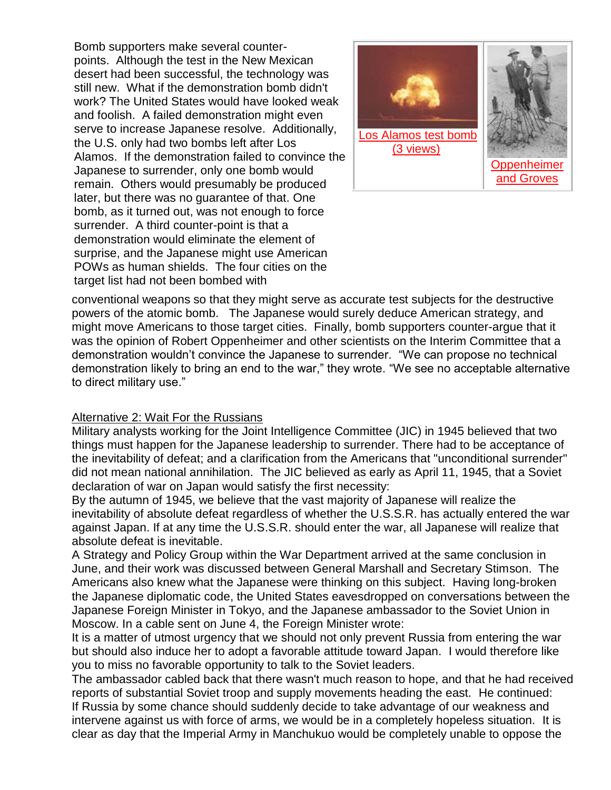Bomb supporters make several counterpoints. Although the test in the New Mexican desert had been successful, the technology was still new. What if the demonstration bomb didn't work? The United States would have looked weak and foolish. A failed demonstration might even serve to increase Japanese resolve. Additionally, the U.S. only had two bombs left after Los Alamos. If the demonstration failed to convince the Japanese to surrender, only one bomb would remain. Others would presumably be produced later, but there was no guarantee of that. One bomb, as it turned out, was not enough to force surrender. A third counter-point is that a demonstration would eliminate the element of surprise, and the Japanese might use American POWs as human shields. The four cities on the target list had not been bombed with



conventional weapons so that they might serve as accurate test subjects for the destructive powers of the atomic bomb. The Japanese would surely deduce American strategy, and might move Americans to those target cities. Finally, bomb supporters counter-argue that it was the opinion of Robert Oppenheimer and other scientists on the Interim Committee that a demonstration wouldn't convince the Japanese to surrender. "We can propose no technical demonstration likely to bring an end to the war," they wrote. "We see no acceptable alternative to direct military use."

#### Alternative 2: Wait For the Russians

Military analysts working for the Joint Intelligence Committee (JIC) in 1945 believed that two things must happen for the Japanese leadership to surrender. There had to be acceptance of the inevitability of defeat; and a clarification from the Americans that "unconditional surrender" did not mean national annihilation. The JIC believed as early as April 11, 1945, that a Soviet declaration of war on Japan would satisfy the first necessity:

By the autumn of 1945, we believe that the vast majority of Japanese will realize the inevitability of absolute defeat regardless of whether the U.S.S.R. has actually entered the war against Japan. If at any time the U.S.S.R. should enter the war, all Japanese will realize that absolute defeat is inevitable.

A Strategy and Policy Group within the War Department arrived at the same conclusion in June, and their work was discussed between General Marshall and Secretary Stimson. The Americans also knew what the Japanese were thinking on this subject. Having long-broken the Japanese diplomatic code, the United States eavesdropped on conversations between the Japanese Foreign Minister in Tokyo, and the Japanese ambassador to the Soviet Union in Moscow. In a cable sent on June 4, the Foreign Minister wrote:

It is a matter of utmost urgency that we should not only prevent Russia from entering the war but should also induce her to adopt a favorable attitude toward Japan. I would therefore like you to miss no favorable opportunity to talk to the Soviet leaders.

The ambassador cabled back that there wasn't much reason to hope, and that he had received reports of substantial Soviet troop and supply movements heading the east. He continued: If Russia by some chance should suddenly decide to take advantage of our weakness and intervene against us with force of arms, we would be in a completely hopeless situation. It is clear as day that the Imperial Army in Manchukuo would be completely unable to oppose the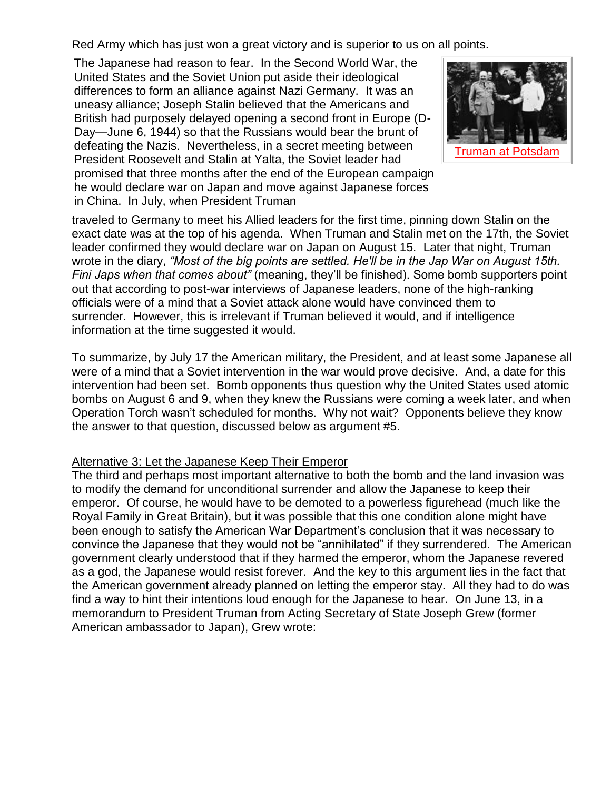Red Army which has just won a great victory and is superior to us on all points.

The Japanese had reason to fear. In the Second World War, the United States and the Soviet Union put aside their ideological differences to form an alliance against Nazi Germany. It was an uneasy alliance; Joseph Stalin believed that the Americans and British had purposely delayed opening a second front in Europe (D-Day—June 6, 1944) so that the Russians would bear the brunt of defeating the Nazis. Nevertheless, in a secret meeting between President Roosevelt and Stalin at Yalta, the Soviet leader had promised that three months after the end of the European campaign he would declare war on Japan and move against Japanese forces in China. In July, when President Truman



traveled to Germany to meet his Allied leaders for the first time, pinning down Stalin on the exact date was at the top of his agenda. When Truman and Stalin met on the 17th, the Soviet leader confirmed they would declare war on Japan on August 15. Later that night, Truman wrote in the diary, *"Most of the big points are settled. He'll be in the Jap War on August 15th. Fini Japs when that comes about"* (meaning, they'll be finished). Some bomb supporters point out that according to post-war interviews of Japanese leaders, none of the high-ranking officials were of a mind that a Soviet attack alone would have convinced them to surrender. However, this is irrelevant if Truman believed it would, and if intelligence information at the time suggested it would.

To summarize, by July 17 the American military, the President, and at least some Japanese all were of a mind that a Soviet intervention in the war would prove decisive. And, a date for this intervention had been set. Bomb opponents thus question why the United States used atomic bombs on August 6 and 9, when they knew the Russians were coming a week later, and when Operation Torch wasn't scheduled for months. Why not wait? Opponents believe they know the answer to that question, discussed below as argument #5.

#### Alternative 3: Let the Japanese Keep Their Emperor

The third and perhaps most important alternative to both the bomb and the land invasion was to modify the demand for unconditional surrender and allow the Japanese to keep their emperor. Of course, he would have to be demoted to a powerless figurehead (much like the Royal Family in Great Britain), but it was possible that this one condition alone might have been enough to satisfy the American War Department's conclusion that it was necessary to convince the Japanese that they would not be "annihilated" if they surrendered. The American government clearly understood that if they harmed the emperor, whom the Japanese revered as a god, the Japanese would resist forever. And the key to this argument lies in the fact that the American government already planned on letting the emperor stay. All they had to do was find a way to hint their intentions loud enough for the Japanese to hear. On June 13, in a memorandum to President Truman from Acting Secretary of State Joseph Grew (former American ambassador to Japan), Grew wrote: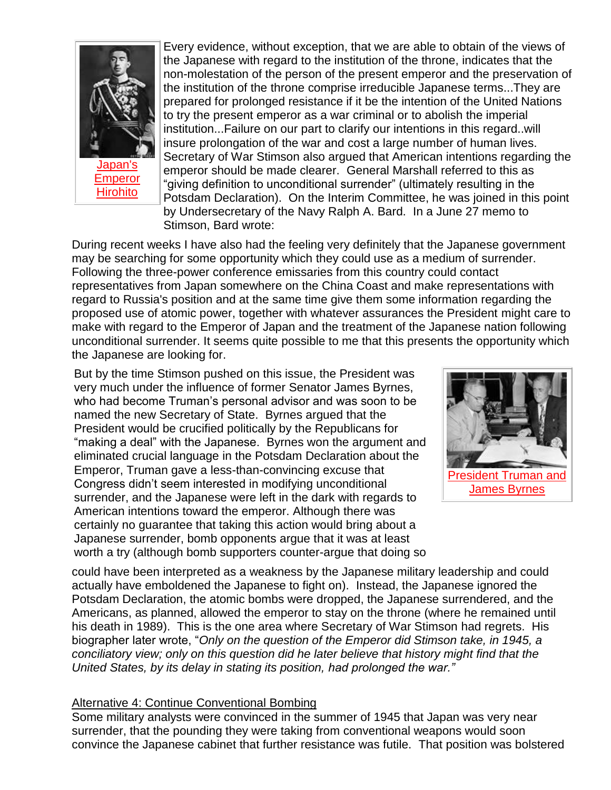

**Emperor [Hirohito](http://www.authentichistory.com/1939-1945/1-war/4-Pacific/4-abombdecision/3-against/Emperor_Hirohito.jpg)** 

Every evidence, without exception, that we are able to obtain of the views of the Japanese with regard to the institution of the throne, indicates that the non-molestation of the person of the present emperor and the preservation of the institution of the throne comprise irreducible Japanese terms...They are prepared for prolonged resistance if it be the intention of the United Nations to try the present emperor as a war criminal or to abolish the imperial institution...Failure on our part to clarify our intentions in this regard..will insure prolongation of the war and cost a large number of human lives. Secretary of War Stimson also argued that American intentions regarding the emperor should be made clearer. General Marshall referred to this as "giving definition to unconditional surrender" (ultimately resulting in the Potsdam Declaration). On the Interim Committee, he was joined in this point by Undersecretary of the Navy Ralph A. Bard. In a June 27 memo to Stimson, Bard wrote:

During recent weeks I have also had the feeling very definitely that the Japanese government may be searching for some opportunity which they could use as a medium of surrender. Following the three-power conference emissaries from this country could contact representatives from Japan somewhere on the China Coast and make representations with regard to Russia's position and at the same time give them some information regarding the proposed use of atomic power, together with whatever assurances the President might care to make with regard to the Emperor of Japan and the treatment of the Japanese nation following unconditional surrender. It seems quite possible to me that this presents the opportunity which the Japanese are looking for.

But by the time Stimson pushed on this issue, the President was very much under the influence of former Senator James Byrnes, who had become Truman's personal advisor and was soon to be named the new Secretary of State. Byrnes argued that the President would be crucified politically by the Republicans for "making a deal" with the Japanese. Byrnes won the argument and eliminated crucial language in the Potsdam Declaration about the Emperor, Truman gave a less-than-convincing excuse that Congress didn't seem interested in modifying unconditional surrender, and the Japanese were left in the dark with regards to American intentions toward the emperor. Although there was certainly no guarantee that taking this action would bring about a Japanese surrender, bomb opponents argue that it was at least worth a try (although bomb supporters counter-argue that doing so



could have been interpreted as a weakness by the Japanese military leadership and could actually have emboldened the Japanese to fight on). Instead, the Japanese ignored the Potsdam Declaration, the atomic bombs were dropped, the Japanese surrendered, and the Americans, as planned, allowed the emperor to stay on the throne (where he remained until his death in 1989). This is the one area where Secretary of War Stimson had regrets. His biographer later wrote, "*Only on the question of the Emperor did Stimson take, in 1945, a conciliatory view; only on this question did he later believe that history might find that the United States, by its delay in stating its position, had prolonged the war."*

#### Alternative 4: Continue Conventional Bombing

Some military analysts were convinced in the summer of 1945 that Japan was very near surrender, that the pounding they were taking from conventional weapons would soon convince the Japanese cabinet that further resistance was futile. That position was bolstered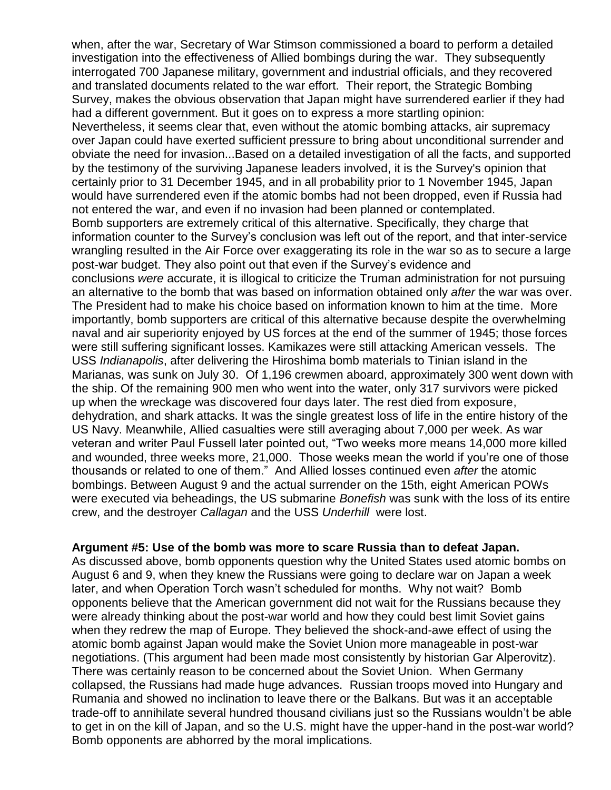when, after the war, Secretary of War Stimson commissioned a board to perform a detailed investigation into the effectiveness of Allied bombings during the war. They subsequently interrogated 700 Japanese military, government and industrial officials, and they recovered and translated documents related to the war effort. Their report, the Strategic Bombing Survey, makes the obvious observation that Japan might have surrendered earlier if they had had a different government. But it goes on to express a more startling opinion: Nevertheless, it seems clear that, even without the atomic bombing attacks, air supremacy over Japan could have exerted sufficient pressure to bring about unconditional surrender and obviate the need for invasion...Based on a detailed investigation of all the facts, and supported by the testimony of the surviving Japanese leaders involved, it is the Survey's opinion that certainly prior to 31 December 1945, and in all probability prior to 1 November 1945, Japan would have surrendered even if the atomic bombs had not been dropped, even if Russia had not entered the war, and even if no invasion had been planned or contemplated. Bomb supporters are extremely critical of this alternative. Specifically, they charge that information counter to the Survey's conclusion was left out of the report, and that inter-service wrangling resulted in the Air Force over exaggerating its role in the war so as to secure a large post-war budget. They also point out that even if the Survey's evidence and conclusions *were* accurate, it is illogical to criticize the Truman administration for not pursuing an alternative to the bomb that was based on information obtained only *after* the war was over. The President had to make his choice based on information known to him at the time. More importantly, bomb supporters are critical of this alternative because despite the overwhelming naval and air superiority enjoyed by US forces at the end of the summer of 1945; those forces were still suffering significant losses. Kamikazes were still attacking American vessels. The USS *Indianapolis*, after delivering the Hiroshima bomb materials to Tinian island in the Marianas, was sunk on July 30. Of 1,196 crewmen aboard, approximately 300 went down with the ship. Of the remaining 900 men who went into the water, only 317 survivors were picked up when the wreckage was discovered four days later. The rest died from exposure, dehydration, and shark attacks. It was the single greatest loss of life in the entire history of the US Navy. Meanwhile, Allied casualties were still averaging about 7,000 per week. As war veteran and writer Paul Fussell later pointed out, "Two weeks more means 14,000 more killed and wounded, three weeks more, 21,000. Those weeks mean the world if you're one of those thousands or related to one of them." And Allied losses continued even *after* the atomic bombings. Between August 9 and the actual surrender on the 15th, eight American POWs were executed via beheadings, the US submarine *Bonefish* was sunk with the loss of its entire crew, and the destroyer *Callagan* and the USS *Underhill* were lost.

#### **Argument #5: Use of the bomb was more to scare Russia than to defeat Japan.**

As discussed above, bomb opponents question why the United States used atomic bombs on August 6 and 9, when they knew the Russians were going to declare war on Japan a week later, and when Operation Torch wasn't scheduled for months. Why not wait? Bomb opponents believe that the American government did not wait for the Russians because they were already thinking about the post-war world and how they could best limit Soviet gains when they redrew the map of Europe. They believed the shock-and-awe effect of using the atomic bomb against Japan would make the Soviet Union more manageable in post-war negotiations. (This argument had been made most consistently by historian Gar Alperovitz). There was certainly reason to be concerned about the Soviet Union. When Germany collapsed, the Russians had made huge advances. Russian troops moved into Hungary and Rumania and showed no inclination to leave there or the Balkans. But was it an acceptable trade-off to annihilate several hundred thousand civilians just so the Russians wouldn't be able to get in on the kill of Japan, and so the U.S. might have the upper-hand in the post-war world? Bomb opponents are abhorred by the moral implications.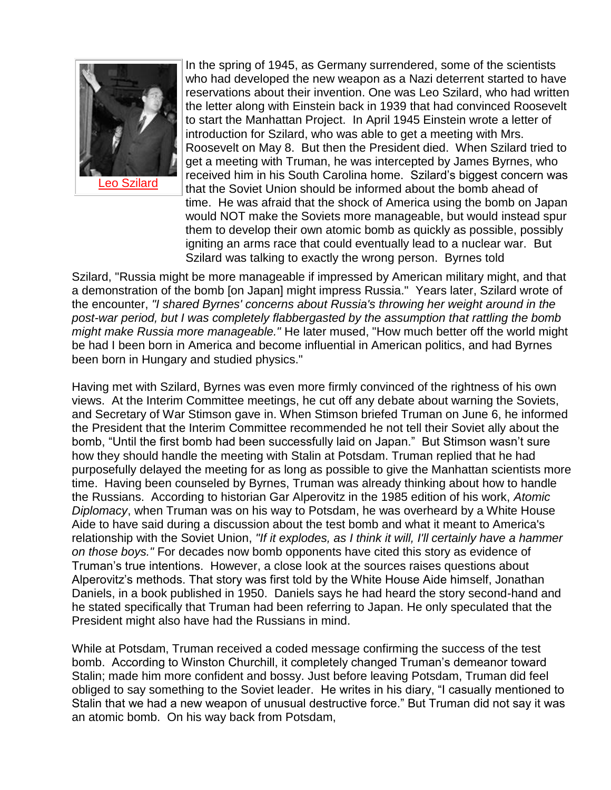

[Leo Szilard](http://www.authentichistory.com/1939-1945/1-war/4-Pacific/4-abombdecision/3-against/Leo_Szilard.jpg)

In the spring of 1945, as Germany surrendered, some of the scientists who had developed the new weapon as a Nazi deterrent started to have reservations about their invention. One was Leo Szilard, who had written the letter along with Einstein back in 1939 that had convinced Roosevelt to start the Manhattan Project. In April 1945 Einstein wrote a letter of introduction for Szilard, who was able to get a meeting with Mrs. Roosevelt on May 8. But then the President died. When Szilard tried to get a meeting with Truman, he was intercepted by James Byrnes, who received him in his South Carolina home. Szilard's biggest concern was that the Soviet Union should be informed about the bomb ahead of time. He was afraid that the shock of America using the bomb on Japan would NOT make the Soviets more manageable, but would instead spur them to develop their own atomic bomb as quickly as possible, possibly igniting an arms race that could eventually lead to a nuclear war. But Szilard was talking to exactly the wrong person. Byrnes told

Szilard, "Russia might be more manageable if impressed by American military might, and that a demonstration of the bomb [on Japan] might impress Russia." Years later, Szilard wrote of the encounter, *"I shared Byrnes' concerns about Russia's throwing her weight around in the post-war period, but I was completely flabbergasted by the assumption that rattling the bomb might make Russia more manageable."* He later mused, "How much better off the world might be had I been born in America and become influential in American politics, and had Byrnes been born in Hungary and studied physics."

Having met with Szilard, Byrnes was even more firmly convinced of the rightness of his own views. At the Interim Committee meetings, he cut off any debate about warning the Soviets, and Secretary of War Stimson gave in. When Stimson briefed Truman on June 6, he informed the President that the Interim Committee recommended he not tell their Soviet ally about the bomb, "Until the first bomb had been successfully laid on Japan." But Stimson wasn't sure how they should handle the meeting with Stalin at Potsdam. Truman replied that he had purposefully delayed the meeting for as long as possible to give the Manhattan scientists more time. Having been counseled by Byrnes, Truman was already thinking about how to handle the Russians. According to historian Gar Alperovitz in the 1985 edition of his work, *Atomic Diplomacy*, when Truman was on his way to Potsdam, he was overheard by a White House Aide to have said during a discussion about the test bomb and what it meant to America's relationship with the Soviet Union, *"If it explodes, as I think it will, I'll certainly have a hammer on those boys."* For decades now bomb opponents have cited this story as evidence of Truman's true intentions. However, a close look at the sources raises questions about Alperovitz's methods. That story was first told by the White House Aide himself, Jonathan Daniels, in a book published in 1950. Daniels says he had heard the story second-hand and he stated specifically that Truman had been referring to Japan. He only speculated that the President might also have had the Russians in mind.

While at Potsdam, Truman received a coded message confirming the success of the test bomb. According to Winston Churchill, it completely changed Truman's demeanor toward Stalin; made him more confident and bossy. Just before leaving Potsdam, Truman did feel obliged to say something to the Soviet leader. He writes in his diary, "I casually mentioned to Stalin that we had a new weapon of unusual destructive force." But Truman did not say it was an atomic bomb. On his way back from Potsdam,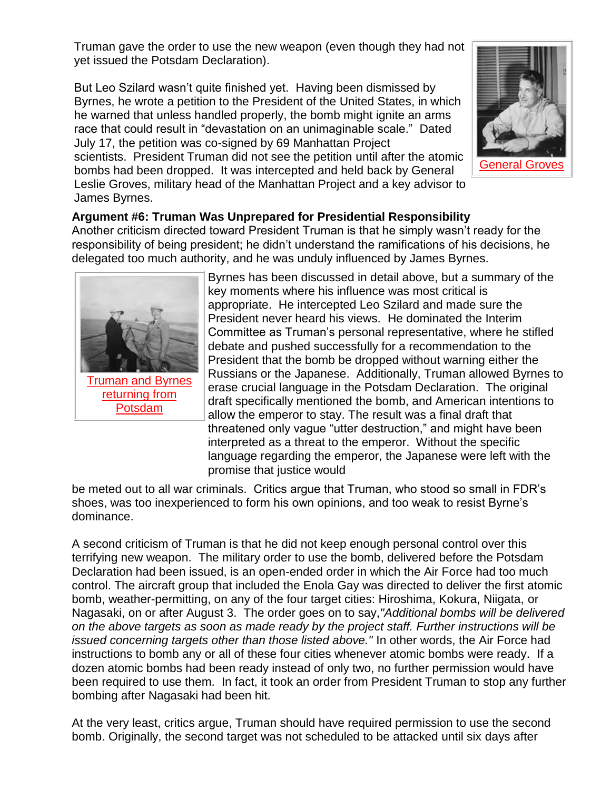Truman gave the order to use the new weapon (even though they had not yet issued the Potsdam Declaration).

But Leo Szilard wasn't quite finished yet. Having been dismissed by Byrnes, he wrote a petition to the President of the United States, in which he warned that unless handled properly, the bomb might ignite an arms race that could result in "devastation on an unimaginable scale." Dated July 17, the petition was co-signed by 69 Manhattan Project scientists. President Truman did not see the petition until after the atomic bombs had been dropped. It was intercepted and held back by General Leslie Groves, military head of the Manhattan Project and a key advisor to James Byrnes.



### **Argument #6: Truman Was Unprepared for Presidential Responsibility**

Another criticism directed toward President Truman is that he simply wasn't ready for the responsibility of being president; he didn't understand the ramifications of his decisions, he delegated too much authority, and he was unduly influenced by James Byrnes.



[Truman and Byrnes](http://www.authentichistory.com/1939-1945/1-war/4-Pacific/4-abombdecision/3-against/Truman_and_Byrnes_on_USS_Augusta.jpg)  [returning from](http://www.authentichistory.com/1939-1945/1-war/4-Pacific/4-abombdecision/3-against/Truman_and_Byrnes_on_USS_Augusta.jpg)  [Potsdam](http://www.authentichistory.com/1939-1945/1-war/4-Pacific/4-abombdecision/3-against/Truman_and_Byrnes_on_USS_Augusta.jpg)

Byrnes has been discussed in detail above, but a summary of the key moments where his influence was most critical is appropriate. He intercepted Leo Szilard and made sure the President never heard his views. He dominated the Interim Committee as Truman's personal representative, where he stifled debate and pushed successfully for a recommendation to the President that the bomb be dropped without warning either the Russians or the Japanese. Additionally, Truman allowed Byrnes to erase crucial language in the Potsdam Declaration. The original draft specifically mentioned the bomb, and American intentions to allow the emperor to stay. The result was a final draft that threatened only vague "utter destruction," and might have been interpreted as a threat to the emperor. Without the specific language regarding the emperor, the Japanese were left with the promise that justice would

be meted out to all war criminals. Critics argue that Truman, who stood so small in FDR's shoes, was too inexperienced to form his own opinions, and too weak to resist Byrne's dominance.

A second criticism of Truman is that he did not keep enough personal control over this terrifying new weapon. The military order to use the bomb, delivered before the Potsdam Declaration had been issued, is an open-ended order in which the Air Force had too much control. The aircraft group that included the Enola Gay was directed to deliver the first atomic bomb, weather-permitting, on any of the four target cities: Hiroshima, Kokura, Niigata, or Nagasaki, on or after August 3. The order goes on to say,*"Additional bombs will be delivered on the above targets as soon as made ready by the project staff. Further instructions will be issued concerning targets other than those listed above."* In other words, the Air Force had instructions to bomb any or all of these four cities whenever atomic bombs were ready. If a dozen atomic bombs had been ready instead of only two, no further permission would have been required to use them. In fact, it took an order from President Truman to stop any further bombing after Nagasaki had been hit.

At the very least, critics argue, Truman should have required permission to use the second bomb. Originally, the second target was not scheduled to be attacked until six days after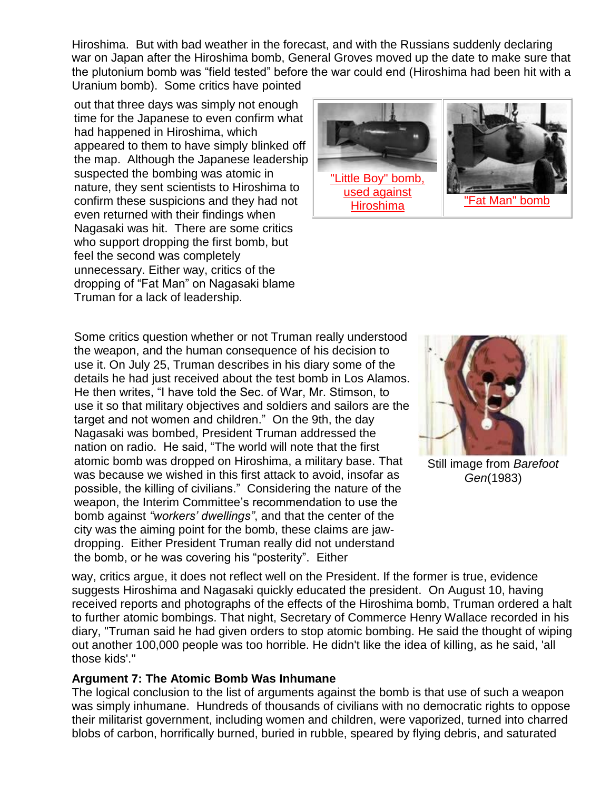Hiroshima. But with bad weather in the forecast, and with the Russians suddenly declaring war on Japan after the Hiroshima bomb, General Groves moved up the date to make sure that the plutonium bomb was "field tested" before the war could end (Hiroshima had been hit with a Uranium bomb). Some critics have pointed

out that three days was simply not enough time for the Japanese to even confirm what had happened in Hiroshima, which appeared to them to have simply blinked off the map. Although the Japanese leadership suspected the bombing was atomic in nature, they sent scientists to Hiroshima to confirm these suspicions and they had not even returned with their findings when Nagasaki was hit. There are some critics who support dropping the first bomb, but feel the second was completely unnecessary. Either way, critics of the dropping of "Fat Man" on Nagasaki blame Truman for a lack of leadership.



Some critics question whether or not Truman really understood the weapon, and the human consequence of his decision to use it. On July 25, Truman describes in his diary some of the details he had just received about the test bomb in Los Alamos. He then writes, "I have told the Sec. of War, Mr. Stimson, to use it so that military objectives and soldiers and sailors are the target and not women and children." On the 9th, the day Nagasaki was bombed, President Truman addressed the nation on radio. He said, "The world will note that the first atomic bomb was dropped on Hiroshima, a military base. That was because we wished in this first attack to avoid, insofar as possible, the killing of civilians." Considering the nature of the weapon, the Interim Committee's recommendation to use the bomb against *"workers' dwellings"*, and that the center of the city was the aiming point for the bomb, these claims are jawdropping. Either President Truman really did not understand the bomb, or he was covering his "posterity". Either



Still image from *Barefoot Gen*(1983)

way, critics argue, it does not reflect well on the President. If the former is true, evidence suggests Hiroshima and Nagasaki quickly educated the president. On August 10, having received reports and photographs of the effects of the Hiroshima bomb, Truman ordered a halt to further atomic bombings. That night, Secretary of Commerce Henry Wallace recorded in his diary, "Truman said he had given orders to stop atomic bombing. He said the thought of wiping out another 100,000 people was too horrible. He didn't like the idea of killing, as he said, 'all those kids'."

#### **Argument 7: The Atomic Bomb Was Inhumane**

The logical conclusion to the list of arguments against the bomb is that use of such a weapon was simply inhumane. Hundreds of thousands of civilians with no democratic rights to oppose their militarist government, including women and children, were vaporized, turned into charred blobs of carbon, horrifically burned, buried in rubble, speared by flying debris, and saturated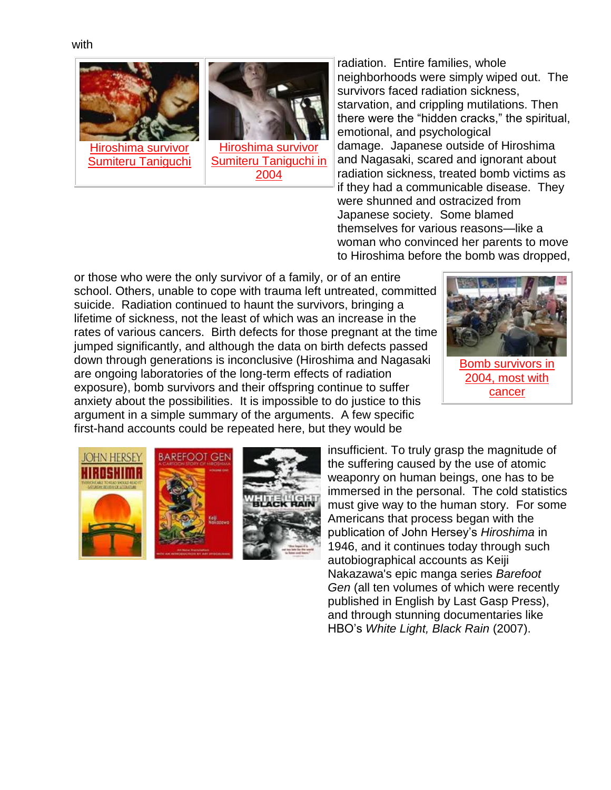



radiation. Entire families, whole neighborhoods were simply wiped out. The survivors faced radiation sickness, starvation, and crippling mutilations. Then there were the "hidden cracks," the spiritual, emotional, and psychological damage. Japanese outside of Hiroshima and Nagasaki, scared and ignorant about radiation sickness, treated bomb victims as if they had a communicable disease. They were shunned and ostracized from Japanese society. Some blamed themselves for various reasons—like a woman who convinced her parents to move to Hiroshima before the bomb was dropped,

or those who were the only survivor of a family, or of an entire school. Others, unable to cope with trauma left untreated, committed suicide. Radiation continued to haunt the survivors, bringing a lifetime of sickness, not the least of which was an increase in the rates of various cancers. Birth defects for those pregnant at the time jumped significantly, and although the data on birth defects passed down through generations is inconclusive (Hiroshima and Nagasaki are ongoing laboratories of the long-term effects of radiation exposure), bomb survivors and their offspring continue to suffer anxiety about the possibilities. It is impossible to do justice to this argument in a simple summary of the arguments. A few specific first-hand accounts could be repeated here, but they would be



[Bomb survivors in](http://www.authentichistory.com/1939-1945/1-war/4-Pacific/4-abombdecision/3-against/20041104_Bomb_Survivors_With_Cancer.jpg)  [2004, most with](http://www.authentichistory.com/1939-1945/1-war/4-Pacific/4-abombdecision/3-against/20041104_Bomb_Survivors_With_Cancer.jpg)  [cancer](http://www.authentichistory.com/1939-1945/1-war/4-Pacific/4-abombdecision/3-against/20041104_Bomb_Survivors_With_Cancer.jpg)







insufficient. To truly grasp the magnitude of the suffering caused by the use of atomic weaponry on human beings, one has to be immersed in the personal. The cold statistics must give way to the human story. For some Americans that process began with the publication of John Hersey's *Hiroshima* in 1946, and it continues today through such autobiographical accounts as Keiji Nakazawa's epic manga series *Barefoot Gen* (all ten volumes of which were recently published in English by Last Gasp Press), and through stunning documentaries like HBO's *White Light, Black Rain* (2007).